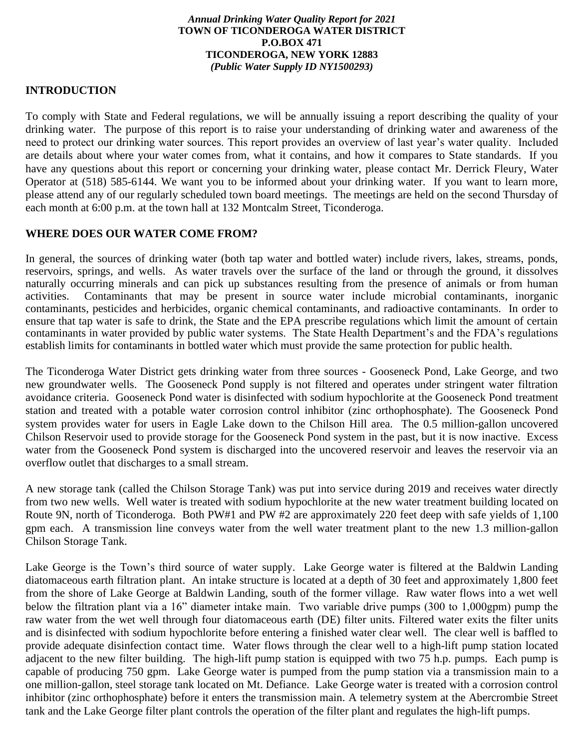#### *Annual Drinking Water Quality Report for 2021* **TOWN OF TICONDEROGA WATER DISTRICT P.O.BOX 471 TICONDEROGA, NEW YORK 12883** *(Public Water Supply ID NY1500293)*

### **INTRODUCTION**

To comply with State and Federal regulations, we will be annually issuing a report describing the quality of your drinking water. The purpose of this report is to raise your understanding of drinking water and awareness of the need to protect our drinking water sources. This report provides an overview of last year's water quality. Included are details about where your water comes from, what it contains, and how it compares to State standards. If you have any questions about this report or concerning your drinking water, please contact Mr. Derrick Fleury, Water Operator at (518) 585-6144. We want you to be informed about your drinking water. If you want to learn more, please attend any of our regularly scheduled town board meetings. The meetings are held on the second Thursday of each month at 6:00 p.m. at the town hall at 132 Montcalm Street, Ticonderoga.

### **WHERE DOES OUR WATER COME FROM?**

In general, the sources of drinking water (both tap water and bottled water) include rivers, lakes, streams, ponds, reservoirs, springs, and wells. As water travels over the surface of the land or through the ground, it dissolves naturally occurring minerals and can pick up substances resulting from the presence of animals or from human activities. Contaminants that may be present in source water include microbial contaminants, inorganic contaminants, pesticides and herbicides, organic chemical contaminants, and radioactive contaminants. In order to ensure that tap water is safe to drink, the State and the EPA prescribe regulations which limit the amount of certain contaminants in water provided by public water systems. The State Health Department's and the FDA's regulations establish limits for contaminants in bottled water which must provide the same protection for public health.

The Ticonderoga Water District gets drinking water from three sources - Gooseneck Pond, Lake George, and two new groundwater wells. The Gooseneck Pond supply is not filtered and operates under stringent water filtration avoidance criteria. Gooseneck Pond water is disinfected with sodium hypochlorite at the Gooseneck Pond treatment station and treated with a potable water corrosion control inhibitor (zinc orthophosphate). The Gooseneck Pond system provides water for users in Eagle Lake down to the Chilson Hill area. The 0.5 million-gallon uncovered Chilson Reservoir used to provide storage for the Gooseneck Pond system in the past, but it is now inactive. Excess water from the Gooseneck Pond system is discharged into the uncovered reservoir and leaves the reservoir via an overflow outlet that discharges to a small stream.

A new storage tank (called the Chilson Storage Tank) was put into service during 2019 and receives water directly from two new wells. Well water is treated with sodium hypochlorite at the new water treatment building located on Route 9N, north of Ticonderoga. Both PW#1 and PW #2 are approximately 220 feet deep with safe yields of 1,100 gpm each. A transmission line conveys water from the well water treatment plant to the new 1.3 million-gallon Chilson Storage Tank.

Lake George is the Town's third source of water supply. Lake George water is filtered at the Baldwin Landing diatomaceous earth filtration plant. An intake structure is located at a depth of 30 feet and approximately 1,800 feet from the shore of Lake George at Baldwin Landing, south of the former village. Raw water flows into a wet well below the filtration plant via a 16" diameter intake main. Two variable drive pumps (300 to 1,000gpm) pump the raw water from the wet well through four diatomaceous earth (DE) filter units. Filtered water exits the filter units and is disinfected with sodium hypochlorite before entering a finished water clear well. The clear well is baffled to provide adequate disinfection contact time. Water flows through the clear well to a high-lift pump station located adjacent to the new filter building. The high-lift pump station is equipped with two 75 h.p. pumps. Each pump is capable of producing 750 gpm. Lake George water is pumped from the pump station via a transmission main to a one million-gallon, steel storage tank located on Mt. Defiance. Lake George water is treated with a corrosion control inhibitor (zinc orthophosphate) before it enters the transmission main. A telemetry system at the Abercrombie Street tank and the Lake George filter plant controls the operation of the filter plant and regulates the high-lift pumps.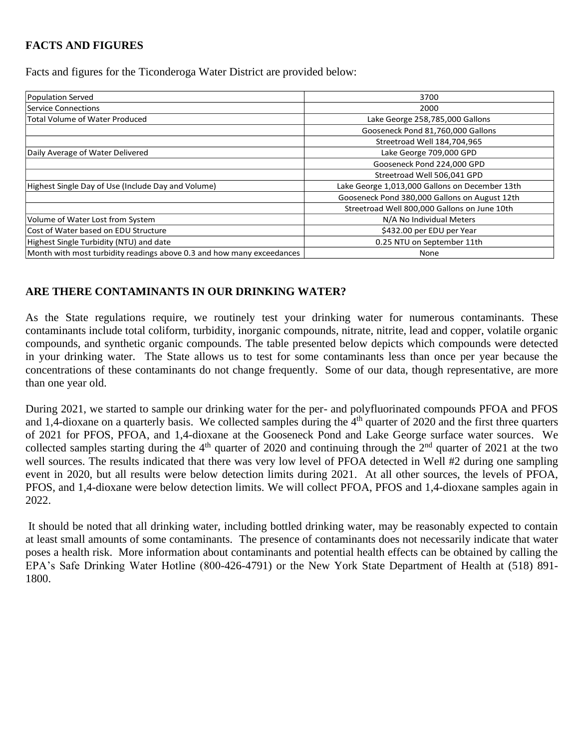# **FACTS AND FIGURES**

Facts and figures for the Ticonderoga Water District are provided below:

| Population Served                                                     | 3700                                           |  |  |
|-----------------------------------------------------------------------|------------------------------------------------|--|--|
| Service Connections                                                   | 2000                                           |  |  |
| <b>Total Volume of Water Produced</b>                                 | Lake George 258,785,000 Gallons                |  |  |
|                                                                       | Gooseneck Pond 81,760,000 Gallons              |  |  |
|                                                                       | Streetroad Well 184,704,965                    |  |  |
| Daily Average of Water Delivered                                      | Lake George 709,000 GPD                        |  |  |
|                                                                       | Gooseneck Pond 224,000 GPD                     |  |  |
|                                                                       | Streetroad Well 506,041 GPD                    |  |  |
| Highest Single Day of Use (Include Day and Volume)                    | Lake George 1,013,000 Gallons on December 13th |  |  |
|                                                                       | Gooseneck Pond 380,000 Gallons on August 12th  |  |  |
|                                                                       | Streetroad Well 800,000 Gallons on June 10th   |  |  |
| Volume of Water Lost from System                                      | N/A No Individual Meters                       |  |  |
| Cost of Water based on EDU Structure                                  | \$432.00 per EDU per Year                      |  |  |
| Highest Single Turbidity (NTU) and date                               | 0.25 NTU on September 11th                     |  |  |
| Month with most turbidity readings above 0.3 and how many exceedances | None                                           |  |  |
|                                                                       |                                                |  |  |

# **ARE THERE CONTAMINANTS IN OUR DRINKING WATER?**

As the State regulations require, we routinely test your drinking water for numerous contaminants. These contaminants include total coliform, turbidity, inorganic compounds, nitrate, nitrite, lead and copper, volatile organic compounds, and synthetic organic compounds. The table presented below depicts which compounds were detected in your drinking water. The State allows us to test for some contaminants less than once per year because the concentrations of these contaminants do not change frequently. Some of our data, though representative, are more than one year old.

During 2021, we started to sample our drinking water for the per- and polyfluorinated compounds PFOA and PFOS and 1,4-dioxane on a quarterly basis. We collected samples during the  $4<sup>th</sup>$  quarter of 2020 and the first three quarters of 2021 for PFOS, PFOA, and 1,4-dioxane at the Gooseneck Pond and Lake George surface water sources. We collected samples starting during the  $4<sup>th</sup>$  quarter of 2020 and continuing through the  $2<sup>nd</sup>$  quarter of 2021 at the two well sources. The results indicated that there was very low level of PFOA detected in Well #2 during one sampling event in 2020, but all results were below detection limits during 2021. At all other sources, the levels of PFOA, PFOS, and 1,4-dioxane were below detection limits. We will collect PFOA, PFOS and 1,4-dioxane samples again in 2022.

It should be noted that all drinking water, including bottled drinking water, may be reasonably expected to contain at least small amounts of some contaminants. The presence of contaminants does not necessarily indicate that water poses a health risk. More information about contaminants and potential health effects can be obtained by calling the EPA's Safe Drinking Water Hotline (800-426-4791) or the New York State Department of Health at (518) 891- 1800.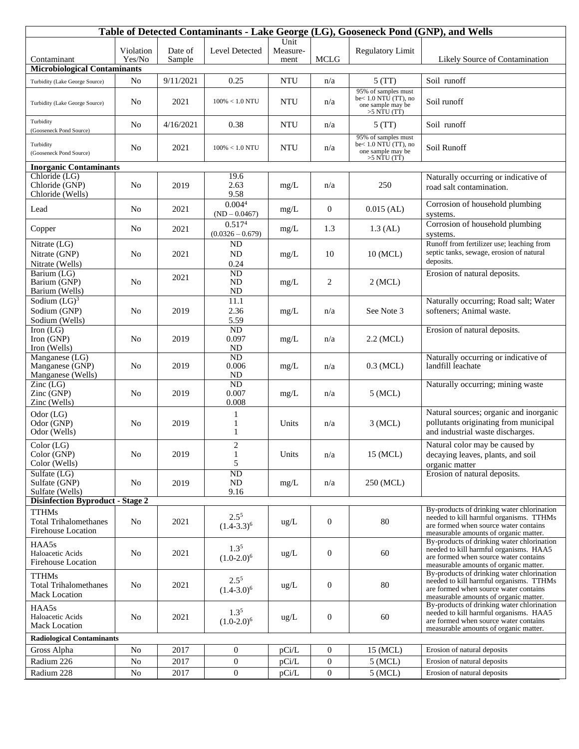| Table of Detected Contaminants - Lake George (LG), Gooseneck Pond (GNP), and Wells    |                     |                   |                                          |                          |                  |                                                                                      |                                                                                                                                                                         |  |  |
|---------------------------------------------------------------------------------------|---------------------|-------------------|------------------------------------------|--------------------------|------------------|--------------------------------------------------------------------------------------|-------------------------------------------------------------------------------------------------------------------------------------------------------------------------|--|--|
| Contaminant                                                                           | Violation<br>Yes/No | Date of<br>Sample | Level Detected                           | Unit<br>Measure-<br>ment | <b>MCLG</b>      | <b>Regulatory Limit</b>                                                              | Likely Source of Contamination                                                                                                                                          |  |  |
| <b>Microbiological Contaminants</b>                                                   |                     |                   |                                          |                          |                  |                                                                                      |                                                                                                                                                                         |  |  |
| Turbidity (Lake George Source)                                                        | No                  | 9/11/2021         | 0.25                                     | <b>NTU</b>               | n/a              | 5(TT)                                                                                | Soil runoff                                                                                                                                                             |  |  |
| Turbidity (Lake George Source)                                                        | N <sub>0</sub>      | 2021              | $100\% < 1.0$ NTU                        | <b>NTU</b>               | n/a              | 95% of samples must<br>be< $1.0$ NTU (TT), no<br>one sample may be<br>$>5$ NTU (TT)  | Soil runoff                                                                                                                                                             |  |  |
| Turbidity<br>(Gooseneck Pond Source)                                                  | No                  | 4/16/2021         | 0.38                                     | <b>NTU</b>               | n/a              | 5(TT)                                                                                | Soil runoff                                                                                                                                                             |  |  |
| Turbidity<br>(Gooseneck Pond Source)                                                  | No                  | 2021              | $100\% < 1.0$ NTU                        | <b>NTU</b>               | n/a              | 95% of samples must<br>be $< 1.0$ NTU (TT), no<br>one sample may be<br>$>5$ NTU (TT) | Soil Runoff                                                                                                                                                             |  |  |
| <b>Inorganic Contaminants</b>                                                         |                     |                   |                                          |                          |                  |                                                                                      |                                                                                                                                                                         |  |  |
| Chloride (LG)<br>Chloride (GNP)<br>Chloride (Wells)                                   | N <sub>o</sub>      | 2019              | 19.6<br>2.63<br>9.58                     | mg/L                     | n/a              | 250                                                                                  | Naturally occurring or indicative of<br>road salt contamination.                                                                                                        |  |  |
| Lead                                                                                  | No                  | 2021              | 0.004 <sup>4</sup><br>$(ND - 0.0467)$    | mg/L                     | $\overline{0}$   | $0.015$ (AL)                                                                         | Corrosion of household plumbing<br>systems.                                                                                                                             |  |  |
| Copper                                                                                | N <sub>o</sub>      | 2021              | 0.517 <sup>4</sup><br>$(0.0326 - 0.679)$ | mg/L                     | 1.3              | $1.3$ (AL)                                                                           | Corrosion of household plumbing<br>systems.                                                                                                                             |  |  |
| Nitrate (LG)<br>Nitrate (GNP)<br>Nitrate (Wells)                                      | No                  | 2021              | ${\rm ND}$<br>ND<br>0.24                 | mg/L                     | 10               | 10 (MCL)                                                                             | Runoff from fertilizer use; leaching from<br>septic tanks, sewage, erosion of natural<br>deposits.                                                                      |  |  |
| Barium (LG)<br>Barium (GNP)<br>Barium (Wells)                                         | N <sub>0</sub>      | 2021              | $\overline{ND}$<br>ND<br>${\rm ND}$      | mg/L                     | 2                | $2$ (MCL)                                                                            | Erosion of natural deposits.                                                                                                                                            |  |  |
| Sodium $(LG)^3$<br>Sodium (GNP)<br>Sodium (Wells)                                     | N <sub>o</sub>      | 2019              | 11.1<br>2.36<br>5.59                     | mg/L                     | n/a              | See Note 3                                                                           | Naturally occurring; Road salt; Water<br>softeners; Animal waste.                                                                                                       |  |  |
| Iron $(LG)$<br>Iron (GNP)<br>Iron (Wells)                                             | N <sub>o</sub>      | 2019              | $\overline{ND}$<br>0.097<br>ND           | mg/L                     | n/a              | $2.2$ (MCL)                                                                          | Erosion of natural deposits.                                                                                                                                            |  |  |
| Manganese (LG)<br>Manganese (GNP)<br>Manganese (Wells)                                | No                  | 2019              | $\overline{ND}$<br>0.006<br>ND           | mg/L                     | n/a              | $0.3$ (MCL)                                                                          | Naturally occurring or indicative of<br>landfill leachate                                                                                                               |  |  |
| $\text{Zinc}$ (LG)<br>Zinc (GNP)<br>Zinc (Wells)                                      | N <sub>o</sub>      | 2019              | ND<br>0.007<br>0.008                     | mg/L                     | n/a              | $5$ (MCL)                                                                            | Naturally occurring; mining waste                                                                                                                                       |  |  |
| Odor (LG)<br>Odor (GNP)<br>Odor (Wells)                                               | N <sub>o</sub>      | 2019              | 1<br>1<br>1                              | Units                    | n/a              | $3$ (MCL)                                                                            | Natural sources; organic and inorganic<br>pollutants originating from municipal<br>and industrial waste discharges.                                                     |  |  |
| Color (LG)<br>Color (GNP)<br>Color (Wells)                                            | No                  | 2019              | $\overline{2}$<br>1<br>5                 | Units                    | n/a              | 15 (MCL)                                                                             | Natural color may be caused by<br>decaying leaves, plants, and soil<br>organic matter                                                                                   |  |  |
| Sulfate (LG)<br>Sulfate (GNP)<br>Sulfate (Wells)                                      | No                  | 2019              | $\overline{ND}$<br>ND<br>9.16            | mg/L                     | n/a              | 250 (MCL)                                                                            | Erosion of natural deposits.                                                                                                                                            |  |  |
| <b>Disinfection Byproduct - Stage 2</b><br>By-products of drinking water chlorination |                     |                   |                                          |                          |                  |                                                                                      |                                                                                                                                                                         |  |  |
| <b>TTHMs</b><br><b>Total Trihalomethanes</b><br><b>Firehouse Location</b>             | N <sub>o</sub>      | 2021              | $2.5^{5}$<br>$(1.4-3.3)^6$               | ug/L                     | $\mathbf{0}$     | 80                                                                                   | needed to kill harmful organisms. TTHMs<br>are formed when source water contains<br>measurable amounts of organic matter.                                               |  |  |
| HAA5s<br>Haloacetic Acids<br><b>Firehouse Location</b>                                | No                  | 2021              | $1.3^{5}$<br>$(1.0-2.0)^6$               | ug/L                     | $\mathbf{0}$     | 60                                                                                   | By-products of drinking water chlorination<br>needed to kill harmful organisms. HAA5<br>are formed when source water contains<br>measurable amounts of organic matter.  |  |  |
| <b>TTHMs</b><br><b>Total Trihalomethanes</b><br>Mack Location                         | No                  | 2021              | $2.5^{5}$<br>$(1.4-3.0)^6$               | $\text{ug/L}$            | $\mathbf{0}$     | 80                                                                                   | By-products of drinking water chlorination<br>needed to kill harmful organisms. TTHMs<br>are formed when source water contains<br>measurable amounts of organic matter. |  |  |
| HAA5s<br>Haloacetic Acids<br><b>Mack Location</b>                                     | No                  | 2021              | $1.3^{5}$<br>$(1.0-2.0)^6$               | ug/L                     | $\mathbf{0}$     | 60                                                                                   | By-products of drinking water chlorination<br>needed to kill harmful organisms. HAA5<br>are formed when source water contains<br>measurable amounts of organic matter.  |  |  |
| <b>Radiological Contaminants</b>                                                      |                     |                   |                                          |                          |                  |                                                                                      |                                                                                                                                                                         |  |  |
| Gross Alpha                                                                           | N <sub>o</sub>      | 2017              | $\overline{0}$                           | pCi/L                    | $\boldsymbol{0}$ | 15 (MCL)                                                                             | Erosion of natural deposits                                                                                                                                             |  |  |
| Radium 226                                                                            | No                  | 2017              | $\boldsymbol{0}$                         | pCi/L                    | $\boldsymbol{0}$ | $5$ (MCL)                                                                            | Erosion of natural deposits                                                                                                                                             |  |  |
| Radium 228                                                                            | $\rm No$            | 2017              | $\boldsymbol{0}$                         | pCi/L                    | $\boldsymbol{0}$ | $5$ (MCL)                                                                            | Erosion of natural deposits                                                                                                                                             |  |  |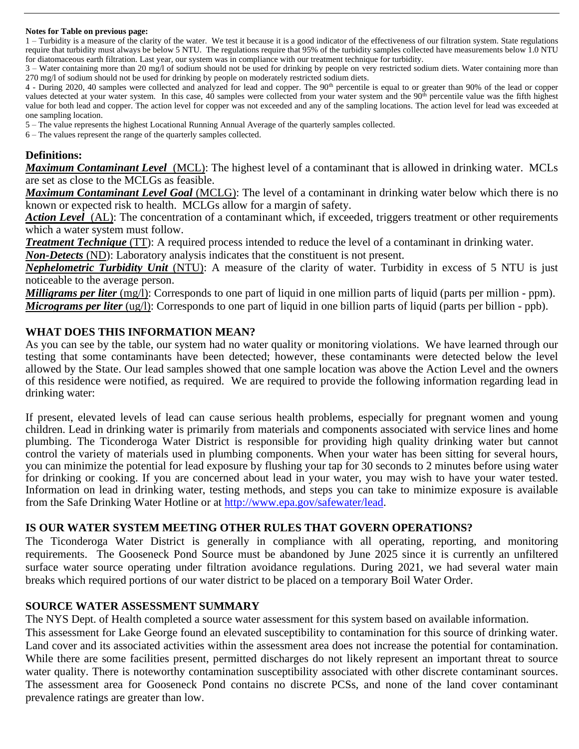#### **Notes for Table on previous page:**

1 – Turbidity is a measure of the clarity of the water. We test it because it is a good indicator of the effectiveness of our filtration system. State regulations require that turbidity must always be below 5 NTU. The regulations require that 95% of the turbidity samples collected have measurements below 1.0 NTU for diatomaceous earth filtration. Last year, our system was in compliance with our treatment technique for turbidity.

3 – Water containing more than 20 mg/l of sodium should not be used for drinking by people on very restricted sodium diets. Water containing more than 270 mg/l of sodium should not be used for drinking by people on moderately restricted sodium diets.

4 - During 2020, 40 samples were collected and analyzed for lead and copper. The 90<sup>th</sup> percentile is equal to or greater than 90% of the lead or copper values detected at your water system. In this case, 40 samples were collected from your water system and the 90<sup>th</sup> percentile value was the fifth highest value for both lead and copper. The action level for copper was not exceeded and any of the sampling locations. The action level for lead was exceeded at one sampling location.

5 – The value represents the highest Locational Running Annual Average of the quarterly samples collected.

6 – The values represent the range of the quarterly samples collected.

#### **Definitions:**

*Maximum Contaminant Level*(MCL): The highest level of a contaminant that is allowed in drinking water. MCLs are set as close to the MCLGs as feasible.

*Maximum Contaminant Level Goal* (MCLG): The level of a contaminant in drinking water below which there is no known or expected risk to health. MCLGs allow for a margin of safety.

*Action Level* (AL): The concentration of a contaminant which, if exceeded, triggers treatment or other requirements which a water system must follow.

*Treatment Technique* (TT): A required process intended to reduce the level of a contaminant in drinking water.

*Non-Detects* (ND): Laboratory analysis indicates that the constituent is not present.

*Nephelometric Turbidity Unit* (NTU): A measure of the clarity of water. Turbidity in excess of 5 NTU is just noticeable to the average person.

*Milligrams per liter* (mg/l): Corresponds to one part of liquid in one million parts of liquid (parts per million - ppm). *Micrograms per liter* (ug/l): Corresponds to one part of liquid in one billion parts of liquid (parts per billion - ppb).

#### **WHAT DOES THIS INFORMATION MEAN?**

As you can see by the table, our system had no water quality or monitoring violations. We have learned through our testing that some contaminants have been detected; however, these contaminants were detected below the level allowed by the State. Our lead samples showed that one sample location was above the Action Level and the owners of this residence were notified, as required. We are required to provide the following information regarding lead in drinking water:

If present, elevated levels of lead can cause serious health problems, especially for pregnant women and young children. Lead in drinking water is primarily from materials and components associated with service lines and home plumbing. The Ticonderoga Water District is responsible for providing high quality drinking water but cannot control the variety of materials used in plumbing components. When your water has been sitting for several hours, you can minimize the potential for lead exposure by flushing your tap for 30 seconds to 2 minutes before using water for drinking or cooking. If you are concerned about lead in your water, you may wish to have your water tested. Information on lead in drinking water, testing methods, and steps you can take to minimize exposure is available from the Safe Drinking Water Hotline or at [http://www.epa.gov/safewater/lead.](http://www.epa.gov/safewater/lead)

#### **IS OUR WATER SYSTEM MEETING OTHER RULES THAT GOVERN OPERATIONS?**

The Ticonderoga Water District is generally in compliance with all operating, reporting, and monitoring requirements. The Gooseneck Pond Source must be abandoned by June 2025 since it is currently an unfiltered surface water source operating under filtration avoidance regulations. During 2021, we had several water main breaks which required portions of our water district to be placed on a temporary Boil Water Order.

#### **SOURCE WATER ASSESSMENT SUMMARY**

The NYS Dept. of Health completed a source water assessment for this system based on available information.

This assessment for Lake George found an elevated susceptibility to contamination for this source of drinking water. Land cover and its associated activities within the assessment area does not increase the potential for contamination. While there are some facilities present, permitted discharges do not likely represent an important threat to source water quality. There is noteworthy contamination susceptibility associated with other discrete contaminant sources. The assessment area for Gooseneck Pond contains no discrete PCSs, and none of the land cover contaminant prevalence ratings are greater than low.